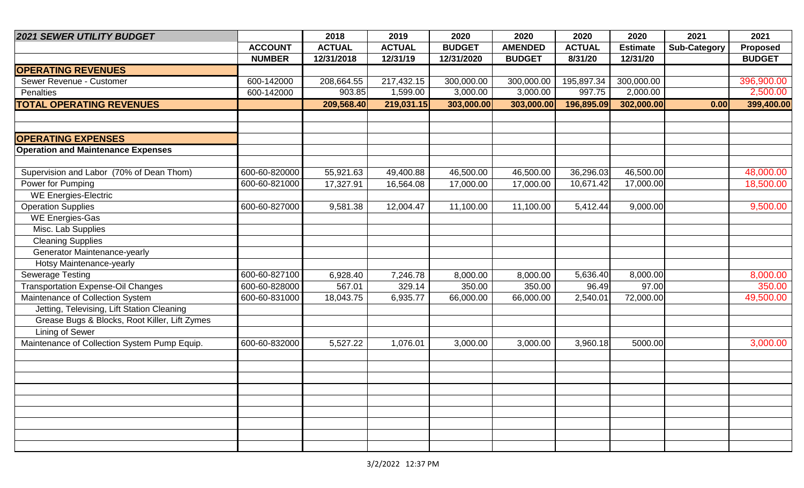| <b>2021 SEWER UTILITY BUDGET</b>              |                | 2018          | 2019          | 2020          | 2020           | 2020          | 2020            | 2021                | 2021            |
|-----------------------------------------------|----------------|---------------|---------------|---------------|----------------|---------------|-----------------|---------------------|-----------------|
|                                               | <b>ACCOUNT</b> | <b>ACTUAL</b> | <b>ACTUAL</b> | <b>BUDGET</b> | <b>AMENDED</b> | <b>ACTUAL</b> | <b>Estimate</b> | <b>Sub-Category</b> | <b>Proposed</b> |
|                                               | <b>NUMBER</b>  | 12/31/2018    | 12/31/19      | 12/31/2020    | <b>BUDGET</b>  | 8/31/20       | 12/31/20        |                     | <b>BUDGET</b>   |
| <b>OPERATING REVENUES</b>                     |                |               |               |               |                |               |                 |                     |                 |
| Sewer Revenue - Customer                      | 600-142000     | 208,664.55    | 217,432.15    | 300,000.00    | 300,000.00     | 195,897.34    | 300,000.00      |                     | 396,900.00      |
| Penalties                                     | 600-142000     | 903.85        | 1,599.00      | 3,000.00      | 3,000.00       | 997.75        | 2,000.00        |                     | 2,500.00        |
| <b>TOTAL OPERATING REVENUES</b>               |                | 209,568.40    | 219,031.15    | 303,000.00    | 303,000.00     | 196,895.09    | 302,000.00      | 0.00                | 399,400.00      |
|                                               |                |               |               |               |                |               |                 |                     |                 |
|                                               |                |               |               |               |                |               |                 |                     |                 |
| <b>OPERATING EXPENSES</b>                     |                |               |               |               |                |               |                 |                     |                 |
| <b>Operation and Maintenance Expenses</b>     |                |               |               |               |                |               |                 |                     |                 |
|                                               |                |               |               |               |                |               |                 |                     |                 |
| Supervision and Labor (70% of Dean Thom)      | 600-60-820000  | 55,921.63     | 49,400.88     | 46,500.00     | 46,500.00      | 36,296.03     | 46,500.00       |                     | 48,000.00       |
| Power for Pumping                             | 600-60-821000  | 17,327.91     | 16,564.08     | 17,000.00     | 17,000.00      | 10,671.42     | 17,000.00       |                     | 18,500.00       |
| <b>WE Energies-Electric</b>                   |                |               |               |               |                |               |                 |                     |                 |
| <b>Operation Supplies</b>                     | 600-60-827000  | 9,581.38      | 12,004.47     | 11,100.00     | 11,100.00      | 5,412.44      | 9,000.00        |                     | 9,500.00        |
| <b>WE Energies-Gas</b>                        |                |               |               |               |                |               |                 |                     |                 |
| Misc. Lab Supplies                            |                |               |               |               |                |               |                 |                     |                 |
| <b>Cleaning Supplies</b>                      |                |               |               |               |                |               |                 |                     |                 |
| Generator Maintenance-yearly                  |                |               |               |               |                |               |                 |                     |                 |
| Hotsy Maintenance-yearly                      |                |               |               |               |                |               |                 |                     |                 |
| Sewerage Testing                              | 600-60-827100  | 6,928.40      | 7,246.78      | 8,000.00      | 8,000.00       | 5,636.40      | 8,000.00        |                     | 8,000.00        |
| <b>Transportation Expense-Oil Changes</b>     | 600-60-828000  | 567.01        | 329.14        | 350.00        | 350.00         | 96.49         | 97.00           |                     | 350.00          |
| Maintenance of Collection System              | 600-60-831000  | 18,043.75     | 6,935.77      | 66,000.00     | 66,000.00      | 2,540.01      | 72,000.00       |                     | 49,500.00       |
| Jetting, Televising, Lift Station Cleaning    |                |               |               |               |                |               |                 |                     |                 |
| Grease Bugs & Blocks, Root Killer, Lift Zymes |                |               |               |               |                |               |                 |                     |                 |
| <b>Lining of Sewer</b>                        |                |               |               |               |                |               |                 |                     |                 |
| Maintenance of Collection System Pump Equip.  | 600-60-832000  | 5,527.22      | 1,076.01      | 3,000.00      | 3,000.00       | 3,960.18      | 5000.00         |                     | 3,000.00        |
|                                               |                |               |               |               |                |               |                 |                     |                 |
|                                               |                |               |               |               |                |               |                 |                     |                 |
|                                               |                |               |               |               |                |               |                 |                     |                 |
|                                               |                |               |               |               |                |               |                 |                     |                 |
|                                               |                |               |               |               |                |               |                 |                     |                 |
|                                               |                |               |               |               |                |               |                 |                     |                 |
|                                               |                |               |               |               |                |               |                 |                     |                 |
|                                               |                |               |               |               |                |               |                 |                     |                 |
|                                               |                |               |               |               |                |               |                 |                     |                 |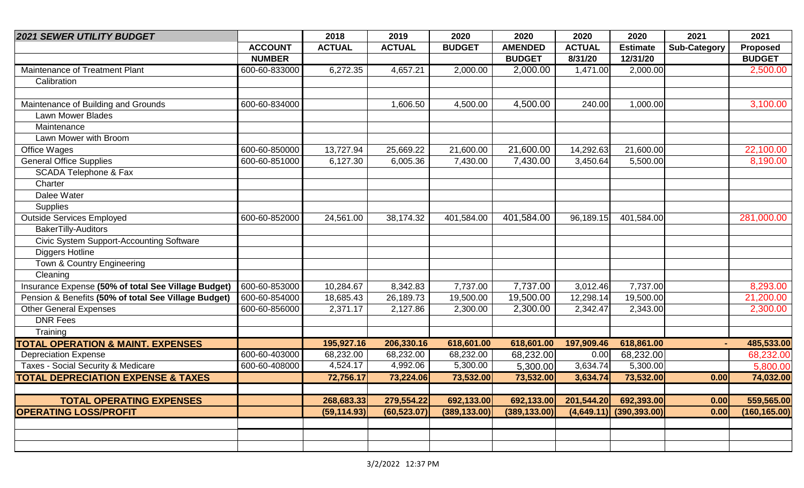| <b>2021 SEWER UTILITY BUDGET</b>                     |                | 2018          | 2019          | 2020          | 2020           | 2020          | 2020                      | 2021                | 2021          |
|------------------------------------------------------|----------------|---------------|---------------|---------------|----------------|---------------|---------------------------|---------------------|---------------|
|                                                      | <b>ACCOUNT</b> | <b>ACTUAL</b> | <b>ACTUAL</b> | <b>BUDGET</b> | <b>AMENDED</b> | <b>ACTUAL</b> | <b>Estimate</b>           | <b>Sub-Category</b> | Proposed      |
|                                                      | <b>NUMBER</b>  |               |               |               | <b>BUDGET</b>  | 8/31/20       | 12/31/20                  |                     | <b>BUDGET</b> |
| Maintenance of Treatment Plant                       | 600-60-833000  | 6,272.35      | 4,657.21      | 2,000.00      | 2,000.00       | 1,471.00      | 2,000.00                  |                     | 2,500.00      |
| Calibration                                          |                |               |               |               |                |               |                           |                     |               |
|                                                      |                |               |               |               |                |               |                           |                     |               |
| Maintenance of Building and Grounds                  | 600-60-834000  |               | 1,606.50      | 4,500.00      | 4,500.00       | 240.00        | 1,000.00                  |                     | 3,100.00      |
| <b>Lawn Mower Blades</b>                             |                |               |               |               |                |               |                           |                     |               |
| Maintenance                                          |                |               |               |               |                |               |                           |                     |               |
| Lawn Mower with Broom                                |                |               |               |               |                |               |                           |                     |               |
| Office Wages                                         | 600-60-850000  | 13,727.94     | 25,669.22     | 21,600.00     | 21,600.00      | 14,292.63     | 21,600.00                 |                     | 22,100.00     |
| <b>General Office Supplies</b>                       | 600-60-851000  | 6,127.30      | 6,005.36      | 7,430.00      | 7,430.00       | 3,450.64      | 5,500.00                  |                     | 8,190.00      |
| SCADA Telephone & Fax                                |                |               |               |               |                |               |                           |                     |               |
| Charter                                              |                |               |               |               |                |               |                           |                     |               |
| Dalee Water                                          |                |               |               |               |                |               |                           |                     |               |
| <b>Supplies</b>                                      |                |               |               |               |                |               |                           |                     |               |
| <b>Outside Services Employed</b>                     | 600-60-852000  | 24,561.00     | 38,174.32     | 401,584.00    | 401,584.00     | 96,189.15     | 401,584.00                |                     | 281,000.00    |
| <b>BakerTilly-Auditors</b>                           |                |               |               |               |                |               |                           |                     |               |
| Civic System Support-Accounting Software             |                |               |               |               |                |               |                           |                     |               |
| <b>Diggers Hotline</b>                               |                |               |               |               |                |               |                           |                     |               |
| Town & Country Engineering                           |                |               |               |               |                |               |                           |                     |               |
| Cleaning                                             |                |               |               |               |                |               |                           |                     |               |
| Insurance Expense (50% of total See Village Budget)  | 600-60-853000  | 10,284.67     | 8,342.83      | 7,737.00      | 7,737.00       | 3,012.46      | 7,737.00                  |                     | 8,293.00      |
| Pension & Benefits (50% of total See Village Budget) | 600-60-854000  | 18,685.43     | 26,189.73     | 19,500.00     | 19,500.00      | 12,298.14     | 19,500.00                 |                     | 21,200.00     |
| <b>Other General Expenses</b>                        | 600-60-856000  | 2,371.17      | 2,127.86      | 2,300.00      | 2,300.00       | 2,342.47      | 2,343.00                  |                     | 2,300.00      |
| <b>DNR Fees</b>                                      |                |               |               |               |                |               |                           |                     |               |
| Training                                             |                |               |               |               |                |               |                           |                     |               |
| <b>TOTAL OPERATION &amp; MAINT. EXPENSES</b>         |                | 195,927.16    | 206,330.16    | 618,601.00    | 618,601.00     | 197,909.46    | 618,861.00                |                     | 485,533.00    |
| <b>Depreciation Expense</b>                          | 600-60-403000  | 68,232.00     | 68,232.00     | 68,232.00     | 68,232.00      | 0.00          | 68,232.00                 |                     | 68,232.00     |
| Taxes - Social Security & Medicare                   | 600-60-408000  | 4,524.17      | 4,992.06      | 5,300.00      | 5,300.00       | 3,634.74      | 5,300.00                  |                     | 5,800.00      |
| <b>TOTAL DEPRECIATION EXPENSE &amp; TAXES</b>        |                | 72,756.17     | 73,224.06     | 73,532.00     | 73,532.00      | 3,634.74      | 73,532.00                 | 0.00                | 74,032.00     |
|                                                      |                |               |               |               |                |               |                           |                     |               |
| <b>TOTAL OPERATING EXPENSES</b>                      |                | 268,683.33    | 279,554.22    | 692,133.00    | 692,133.00     | 201,544.20    | 692,393.00                | 0.00                | 559,565.00    |
| <b>OPERATING LOSS/PROFIT</b>                         |                | (59, 114.93)  | (60, 523.07)  | (389, 133.00) | (389, 133.00)  |               | $(4,649.11)$ (390,393.00) | 0.00                | (160, 165.00) |
|                                                      |                |               |               |               |                |               |                           |                     |               |
|                                                      |                |               |               |               |                |               |                           |                     |               |
|                                                      |                |               |               |               |                |               |                           |                     |               |